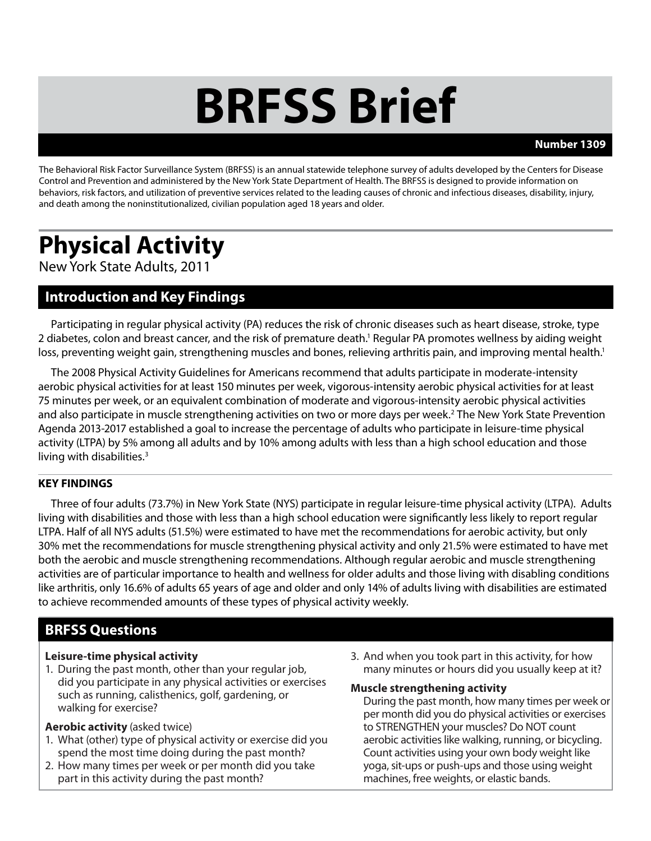# **BRFSS Brief**

#### **Number 1309**

The Behavioral Risk Factor Surveillance System (BRFSS) is an annual statewide telephone survey of adults developed by the Centers for Disease Control and Prevention and administered by the New York State Department of Health. The BRFSS is designed to provide information on behaviors, risk factors, and utilization of preventive services related to the leading causes of chronic and infectious diseases, disability, injury, and death among the noninstitutionalized, civilian population aged 18 years and older.

# **Physical Activity**

New York State Adults, 2011

# **Introduction and Key Findings**

Participating in regular physical activity (PA) reduces the risk of chronic diseases such as heart disease, stroke, type 2 diabetes, colon and breast cancer, and the risk of premature death.<sup>1</sup> Regular PA promotes wellness by aiding weight loss, preventing weight gain, strengthening muscles and bones, relieving arthritis pain, and improving mental health.<sup>1</sup>

The 2008 Physical Activity Guidelines for Americans recommend that adults participate in moderate-intensity aerobic physical activities for at least 150 minutes per week, vigorous-intensity aerobic physical activities for at least 75 minutes per week, or an equivalent combination of moderate and vigorous-intensity aerobic physical activities and also participate in muscle strengthening activities on two or more days per week.<sup>2</sup> The New York State Prevention Agenda 2013-2017 established a goal to increase the percentage of adults who participate in leisure-time physical activity (LTPA) by 5% among all adults and by 10% among adults with less than a high school education and those living with disabilities.3

#### **KEY FINDINGS**

Three of four adults (73.7%) in New York State (NYS) participate in regular leisure-time physical activity (LTPA). Adults living with disabilities and those with less than a high school education were significantly less likely to report regular LTPA. Half of all NYS adults (51.5%) were estimated to have met the recommendations for aerobic activity, but only 30% met the recommendations for muscle strengthening physical activity and only 21.5% were estimated to have met both the aerobic and muscle strengthening recommendations. Although regular aerobic and muscle strengthening activities are of particular importance to health and wellness for older adults and those living with disabling conditions like arthritis, only 16.6% of adults 65 years of age and older and only 14% of adults living with disabilities are estimated to achieve recommended amounts of these types of physical activity weekly.

# **BRFSS Questions**

#### **Leisure-time physical activity**

1. During the past month, other than your regular job, did you participate in any physical activities or exercises such as running, calisthenics, golf, gardening, or walking for exercise?

#### **Aerobic activity** (asked twice)

- 1. What (other) type of physical activity or exercise did you spend the most time doing during the past month?
- 2. How many times per week or per month did you take part in this activity during the past month?

3. And when you took part in this activity, for how many minutes or hours did you usually keep at it?

#### **Muscle strengthening activity**

During the past month, how many times per week or per month did you do physical activities or exercises to STRENGTHEN your muscles? Do NOT count aerobic activities like walking, running, or bicycling. Count activities using your own body weight like yoga, sit-ups or push-ups and those using weight machines, free weights, or elastic bands.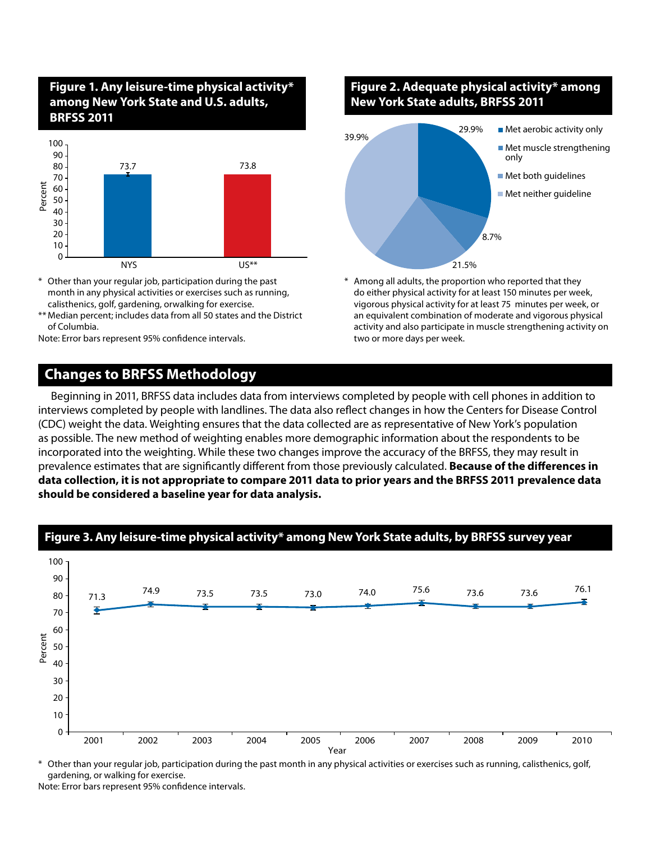# **Figure 1. Any leisure-time physical activity\* among New York State and U.S. adults, BRFSS 2011**



- Other than your regular job, participation during the past month in any physical activities or exercises such as running, calisthenics, golf, gardening, orwalking for exercise.
- \*\* Median percent; includes data from all 50 states and the District of Columbia.

Note: Error bars represent 95% confidence intervals.

### **Changes to BRFSS Methodology**

**Figure 2. Adequate physical activity\* among New York State adults, BRFSS 2011**



Among all adults, the proportion who reported that they do either physical activity for at least 150 minutes per week, vigorous physical activity for at least 75 minutes per week, or an equivalent combination of moderate and vigorous physical activity and also participate in muscle strengthening activity on two or more days per week.

Beginning in 2011, BRFSS data includes data from interviews completed by people with cell phones in addition to interviews completed by people with landlines. The data also reflect changes in how the Centers for Disease Control (CDC) weight the data. Weighting ensures that the data collected are as representative of New York's population as possible. The new method of weighting enables more demographic information about the respondents to be incorporated into the weighting. While these two changes improve the accuracy of the BRFSS, they may result in prevalence estimates that are significantly different from those previously calculated. **Because of the differences in data collection, it is not appropriate to compare 2011 data to prior years and the BRFSS 2011 prevalence data should be considered a baseline year for data analysis.**



#### **Figure 3. Any leisure-time physical activity\* among New York State adults, by BRFSS survey year**

\* Other than your regular job, participation during the past month in any physical activities or exercises such as running, calisthenics, golf, gardening, or walking for exercise.

Note: Error bars represent 95% confidence intervals.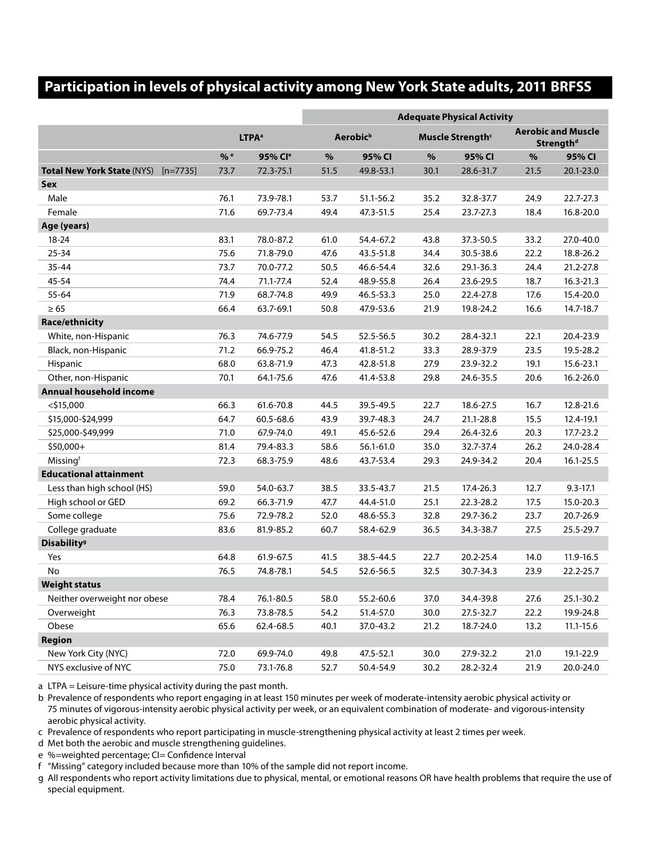# **Participation in levels of physical activity among New York State adults, 2011 BRFSS**

|                                                 |                   |                     | <b>Adequate Physical Activity</b> |           |                              |           |                                                    |              |
|-------------------------------------------------|-------------------|---------------------|-----------------------------------|-----------|------------------------------|-----------|----------------------------------------------------|--------------|
|                                                 |                   |                     |                                   |           |                              |           |                                                    |              |
|                                                 | LTPA <sup>a</sup> |                     | Aerobic <sup>b</sup>              |           | Muscle Strength <sup>c</sup> |           | <b>Aerobic and Muscle</b><br>Strength <sup>d</sup> |              |
|                                                 | % e               | 95% Cl <sup>e</sup> | $\%$                              | 95% CI    | $\%$                         | 95% CI    | $\%$                                               | 95% CI       |
| <b>Total New York State (NYS)</b><br>$[n=7735]$ | 73.7              | 72.3-75.1           | 51.5                              | 49.8-53.1 | 30.1                         | 28.6-31.7 | 21.5                                               | 20.1-23.0    |
| Sex                                             |                   |                     |                                   |           |                              |           |                                                    |              |
| Male                                            | 76.1              | 73.9-78.1           | 53.7                              | 51.1-56.2 | 35.2                         | 32.8-37.7 | 24.9                                               | 22.7-27.3    |
| Female                                          | 71.6              | 69.7-73.4           | 49.4                              | 47.3-51.5 | 25.4                         | 23.7-27.3 | 18.4                                               | 16.8-20.0    |
| Age (years)                                     |                   |                     |                                   |           |                              |           |                                                    |              |
| $18 - 24$                                       | 83.1              | 78.0-87.2           | 61.0                              | 54.4-67.2 | 43.8                         | 37.3-50.5 | 33.2                                               | 27.0-40.0    |
| 25-34                                           | 75.6              | 71.8-79.0           | 47.6                              | 43.5-51.8 | 34.4                         | 30.5-38.6 | 22.2                                               | 18.8-26.2    |
| $35 - 44$                                       | 73.7              | 70.0-77.2           | 50.5                              | 46.6-54.4 | 32.6                         | 29.1-36.3 | 24.4                                               | 21.2-27.8    |
| 45-54                                           | 74.4              | 71.1-77.4           | 52.4                              | 48.9-55.8 | 26.4                         | 23.6-29.5 | 18.7                                               | 16.3-21.3    |
| 55-64                                           | 71.9              | 68.7-74.8           | 49.9                              | 46.5-53.3 | 25.0                         | 22.4-27.8 | 17.6                                               | 15.4-20.0    |
| $\geq 65$                                       | 66.4              | 63.7-69.1           | 50.8                              | 47.9-53.6 | 21.9                         | 19.8-24.2 | 16.6                                               | 14.7-18.7    |
| <b>Race/ethnicity</b>                           |                   |                     |                                   |           |                              |           |                                                    |              |
| White, non-Hispanic                             | 76.3              | 74.6-77.9           | 54.5                              | 52.5-56.5 | 30.2                         | 28.4-32.1 | 22.1                                               | 20.4-23.9    |
| Black, non-Hispanic                             | 71.2              | 66.9-75.2           | 46.4                              | 41.8-51.2 | 33.3                         | 28.9-37.9 | 23.5                                               | 19.5-28.2    |
| Hispanic                                        | 68.0              | 63.8-71.9           | 47.3                              | 42.8-51.8 | 27.9                         | 23.9-32.2 | 19.1                                               | 15.6-23.1    |
| Other, non-Hispanic                             | 70.1              | 64.1-75.6           | 47.6                              | 41.4-53.8 | 29.8                         | 24.6-35.5 | 20.6                                               | 16.2-26.0    |
| Annual household income                         |                   |                     |                                   |           |                              |           |                                                    |              |
| $<$ \$15,000                                    | 66.3              | 61.6-70.8           | 44.5                              | 39.5-49.5 | 22.7                         | 18.6-27.5 | 16.7                                               | 12.8-21.6    |
| \$15,000-\$24,999                               | 64.7              | 60.5-68.6           | 43.9                              | 39.7-48.3 | 24.7                         | 21.1-28.8 | 15.5                                               | 12.4-19.1    |
| \$25,000-\$49,999                               | 71.0              | 67.9-74.0           | 49.1                              | 45.6-52.6 | 29.4                         | 26.4-32.6 | 20.3                                               | 17.7-23.2    |
| \$50,000+                                       | 81.4              | 79.4-83.3           | 58.6                              | 56.1-61.0 | 35.0                         | 32.7-37.4 | 26.2                                               | 24.0-28.4    |
| Missingf                                        | 72.3              | 68.3-75.9           | 48.6                              | 43.7-53.4 | 29.3                         | 24.9-34.2 | 20.4                                               | 16.1-25.5    |
| <b>Educational attainment</b>                   |                   |                     |                                   |           |                              |           |                                                    |              |
| Less than high school (HS)                      | 59.0              | 54.0-63.7           | 38.5                              | 33.5-43.7 | 21.5                         | 17.4-26.3 | 12.7                                               | $9.3 - 17.1$ |
| High school or GED                              | 69.2              | 66.3-71.9           | 47.7                              | 44.4-51.0 | 25.1                         | 22.3-28.2 | 17.5                                               | 15.0-20.3    |
| Some college                                    | 75.6              | 72.9-78.2           | 52.0                              | 48.6-55.3 | 32.8                         | 29.7-36.2 | 23.7                                               | 20.7-26.9    |
| College graduate                                | 83.6              | 81.9-85.2           | 60.7                              | 58.4-62.9 | 36.5                         | 34.3-38.7 | 27.5                                               | 25.5-29.7    |
| <b>Disability</b> <sup>9</sup>                  |                   |                     |                                   |           |                              |           |                                                    |              |
| Yes                                             | 64.8              | 61.9-67.5           | 41.5                              | 38.5-44.5 | 22.7                         | 20.2-25.4 | 14.0                                               | 11.9-16.5    |
| No                                              | 76.5              | 74.8-78.1           | 54.5                              | 52.6-56.5 | 32.5                         | 30.7-34.3 | 23.9                                               | 22.2-25.7    |
| <b>Weight status</b>                            |                   |                     |                                   |           |                              |           |                                                    |              |
| Neither overweight nor obese                    | 78.4              | 76.1-80.5           | 58.0                              | 55.2-60.6 | 37.0                         | 34.4-39.8 | 27.6                                               | 25.1-30.2    |
| Overweight                                      | 76.3              | 73.8-78.5           | 54.2                              | 51.4-57.0 | 30.0                         | 27.5-32.7 | 22.2                                               | 19.9-24.8    |
| Obese                                           | 65.6              | 62.4-68.5           | 40.1                              | 37.0-43.2 | 21.2                         | 18.7-24.0 | 13.2                                               | 11.1-15.6    |
| <b>Region</b>                                   |                   |                     |                                   |           |                              |           |                                                    |              |
| New York City (NYC)                             | 72.0              | 69.9-74.0           | 49.8                              | 47.5-52.1 | 30.0                         | 27.9-32.2 | 21.0                                               | 19.1-22.9    |
| NYS exclusive of NYC                            | 75.0              | 73.1-76.8           | 52.7                              | 50.4-54.9 | 30.2                         | 28.2-32.4 | 21.9                                               | 20.0-24.0    |

a LTPA = Leisure-time physical activity during the past month.

b Prevalence of respondents who report engaging in at least 150 minutes per week of moderate-intensity aerobic physical activity or 75 minutes of vigorous-intensity aerobic physical activity per week, or an equivalent combination of moderate- and vigorous-intensity aerobic physical activity.

c Prevalence of respondents who report participating in muscle-strengthening physical activity at least 2 times per week.

d Met both the aerobic and muscle strengthening guidelines.

e %=weighted percentage; CI= Confidence Interval

f "Missing" category included because more than 10% of the sample did not report income.

g All respondents who report activity limitations due to physical, mental, or emotional reasons OR have health problems that require the use of special equipment.